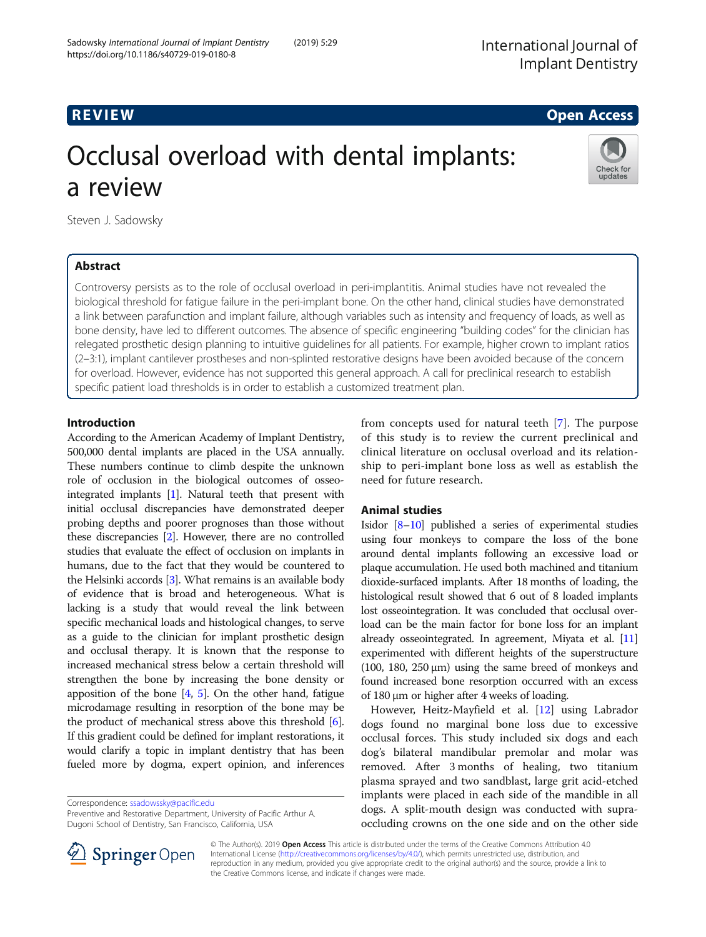# R EVI EW Open Access

Check for updates

# Occlusal overload with dental implants: a review

Steven J. Sadowsky

# Abstract

Controversy persists as to the role of occlusal overload in peri-implantitis. Animal studies have not revealed the biological threshold for fatigue failure in the peri-implant bone. On the other hand, clinical studies have demonstrated a link between parafunction and implant failure, although variables such as intensity and frequency of loads, as well as bone density, have led to different outcomes. The absence of specific engineering "building codes" for the clinician has relegated prosthetic design planning to intuitive guidelines for all patients. For example, higher crown to implant ratios (2–3:1), implant cantilever prostheses and non-splinted restorative designs have been avoided because of the concern for overload. However, evidence has not supported this general approach. A call for preclinical research to establish specific patient load thresholds is in order to establish a customized treatment plan.

# Introduction

According to the American Academy of Implant Dentistry, 500,000 dental implants are placed in the USA annually. These numbers continue to climb despite the unknown role of occlusion in the biological outcomes of osseointegrated implants [[1\]](#page-3-0). Natural teeth that present with initial occlusal discrepancies have demonstrated deeper probing depths and poorer prognoses than those without these discrepancies [[2](#page-3-0)]. However, there are no controlled studies that evaluate the effect of occlusion on implants in humans, due to the fact that they would be countered to the Helsinki accords [[3\]](#page-3-0). What remains is an available body of evidence that is broad and heterogeneous. What is lacking is a study that would reveal the link between specific mechanical loads and histological changes, to serve as a guide to the clinician for implant prosthetic design and occlusal therapy. It is known that the response to increased mechanical stress below a certain threshold will strengthen the bone by increasing the bone density or apposition of the bone [\[4,](#page-3-0) [5](#page-3-0)]. On the other hand, fatigue microdamage resulting in resorption of the bone may be the product of mechanical stress above this threshold [[6](#page-3-0)]. If this gradient could be defined for implant restorations, it would clarify a topic in implant dentistry that has been fueled more by dogma, expert opinion, and inferences

Correspondence: [ssadowssky@pacific.edu](mailto:ssadowssky@pacific.edu)

Preventive and Restorative Department, University of Pacific Arthur A. Dugoni School of Dentistry, San Francisco, California, USA

from concepts used for natural teeth [\[7](#page-3-0)]. The purpose of this study is to review the current preclinical and clinical literature on occlusal overload and its relationship to peri-implant bone loss as well as establish the need for future research.

## Animal studies

Isidor [\[8](#page-3-0)–[10](#page-3-0)] published a series of experimental studies using four monkeys to compare the loss of the bone around dental implants following an excessive load or plaque accumulation. He used both machined and titanium dioxide-surfaced implants. After 18 months of loading, the histological result showed that 6 out of 8 loaded implants lost osseointegration. It was concluded that occlusal overload can be the main factor for bone loss for an implant already osseointegrated. In agreement, Miyata et al. [\[11](#page-3-0)] experimented with different heights of the superstructure (100, 180, 250  $\mu$ m) using the same breed of monkeys and found increased bone resorption occurred with an excess of 180 μm or higher after 4 weeks of loading.

However, Heitz-Mayfield et al. [[12\]](#page-3-0) using Labrador dogs found no marginal bone loss due to excessive occlusal forces. This study included six dogs and each dog's bilateral mandibular premolar and molar was removed. After 3 months of healing, two titanium plasma sprayed and two sandblast, large grit acid-etched implants were placed in each side of the mandible in all dogs. A split-mouth design was conducted with supraoccluding crowns on the one side and on the other side



© The Author(s). 2019 Open Access This article is distributed under the terms of the Creative Commons Attribution 4.0 International License ([http://creativecommons.org/licenses/by/4.0/\)](http://creativecommons.org/licenses/by/4.0/), which permits unrestricted use, distribution, and reproduction in any medium, provided you give appropriate credit to the original author(s) and the source, provide a link to the Creative Commons license, and indicate if changes were made.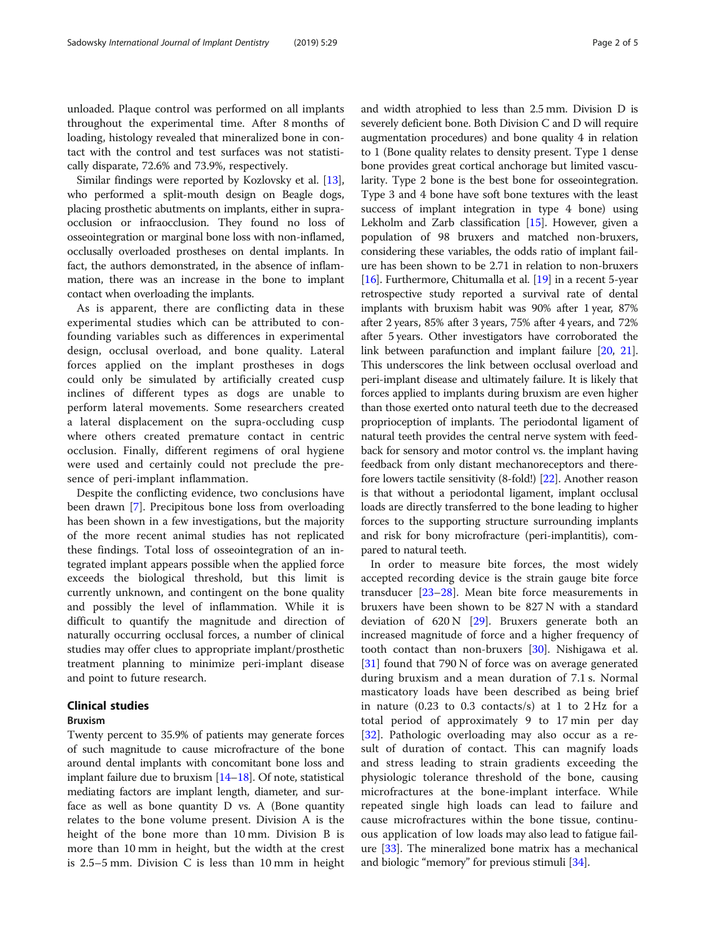unloaded. Plaque control was performed on all implants throughout the experimental time. After 8 months of loading, histology revealed that mineralized bone in contact with the control and test surfaces was not statistically disparate, 72.6% and 73.9%, respectively.

Similar findings were reported by Kozlovsky et al. [[13](#page-3-0)], who performed a split-mouth design on Beagle dogs, placing prosthetic abutments on implants, either in supraocclusion or infraocclusion. They found no loss of osseointegration or marginal bone loss with non-inflamed, occlusally overloaded prostheses on dental implants. In fact, the authors demonstrated, in the absence of inflammation, there was an increase in the bone to implant contact when overloading the implants.

As is apparent, there are conflicting data in these experimental studies which can be attributed to confounding variables such as differences in experimental design, occlusal overload, and bone quality. Lateral forces applied on the implant prostheses in dogs could only be simulated by artificially created cusp inclines of different types as dogs are unable to perform lateral movements. Some researchers created a lateral displacement on the supra-occluding cusp where others created premature contact in centric occlusion. Finally, different regimens of oral hygiene were used and certainly could not preclude the presence of peri-implant inflammation.

Despite the conflicting evidence, two conclusions have been drawn [\[7](#page-3-0)]. Precipitous bone loss from overloading has been shown in a few investigations, but the majority of the more recent animal studies has not replicated these findings. Total loss of osseointegration of an integrated implant appears possible when the applied force exceeds the biological threshold, but this limit is currently unknown, and contingent on the bone quality and possibly the level of inflammation. While it is difficult to quantify the magnitude and direction of naturally occurring occlusal forces, a number of clinical studies may offer clues to appropriate implant/prosthetic treatment planning to minimize peri-implant disease and point to future research.

### Clinical studies

#### Bruxism

Twenty percent to 35.9% of patients may generate forces of such magnitude to cause microfracture of the bone around dental implants with concomitant bone loss and implant failure due to bruxism [\[14](#page-3-0)–[18](#page-3-0)]. Of note, statistical mediating factors are implant length, diameter, and surface as well as bone quantity D vs. A (Bone quantity relates to the bone volume present. Division A is the height of the bone more than 10 mm. Division B is more than 10 mm in height, but the width at the crest is 2.5–5 mm. Division C is less than 10 mm in height and width atrophied to less than 2.5 mm. Division D is severely deficient bone. Both Division C and D will require augmentation procedures) and bone quality 4 in relation to 1 (Bone quality relates to density present. Type 1 dense bone provides great cortical anchorage but limited vascularity. Type 2 bone is the best bone for osseointegration. Type 3 and 4 bone have soft bone textures with the least success of implant integration in type 4 bone) using Lekholm and Zarb classification [[15](#page-3-0)]. However, given a population of 98 bruxers and matched non-bruxers, considering these variables, the odds ratio of implant failure has been shown to be 2.71 in relation to non-bruxers [[16](#page-3-0)]. Furthermore, Chitumalla et al. [[19\]](#page-3-0) in a recent 5-year retrospective study reported a survival rate of dental implants with bruxism habit was 90% after 1 year, 87% after 2 years, 85% after 3 years, 75% after 4 years, and 72% after 5 years. Other investigators have corroborated the link between parafunction and implant failure [\[20,](#page-3-0) [21](#page-3-0)]. This underscores the link between occlusal overload and peri-implant disease and ultimately failure. It is likely that forces applied to implants during bruxism are even higher than those exerted onto natural teeth due to the decreased proprioception of implants. The periodontal ligament of natural teeth provides the central nerve system with feedback for sensory and motor control vs. the implant having feedback from only distant mechanoreceptors and therefore lowers tactile sensitivity (8-fold!) [\[22\]](#page-3-0). Another reason is that without a periodontal ligament, implant occlusal loads are directly transferred to the bone leading to higher forces to the supporting structure surrounding implants and risk for bony microfracture (peri-implantitis), compared to natural teeth.

In order to measure bite forces, the most widely accepted recording device is the strain gauge bite force transducer [\[23](#page-3-0)–[28\]](#page-4-0). Mean bite force measurements in bruxers have been shown to be 827 N with a standard deviation of  $620 \text{ N}$  [\[29](#page-4-0)]. Bruxers generate both an increased magnitude of force and a higher frequency of tooth contact than non-bruxers [\[30\]](#page-4-0). Nishigawa et al. [[31\]](#page-4-0) found that 790 N of force was on average generated during bruxism and a mean duration of 7.1 s. Normal masticatory loads have been described as being brief in nature  $(0.23 \text{ to } 0.3 \text{ contacts/s})$  at 1 to  $2 \text{ Hz}$  for a total period of approximately 9 to 17 min per day [[32\]](#page-4-0). Pathologic overloading may also occur as a result of duration of contact. This can magnify loads and stress leading to strain gradients exceeding the physiologic tolerance threshold of the bone, causing microfractures at the bone-implant interface. While repeated single high loads can lead to failure and cause microfractures within the bone tissue, continuous application of low loads may also lead to fatigue failure [[33](#page-4-0)]. The mineralized bone matrix has a mechanical and biologic "memory" for previous stimuli [\[34\]](#page-4-0).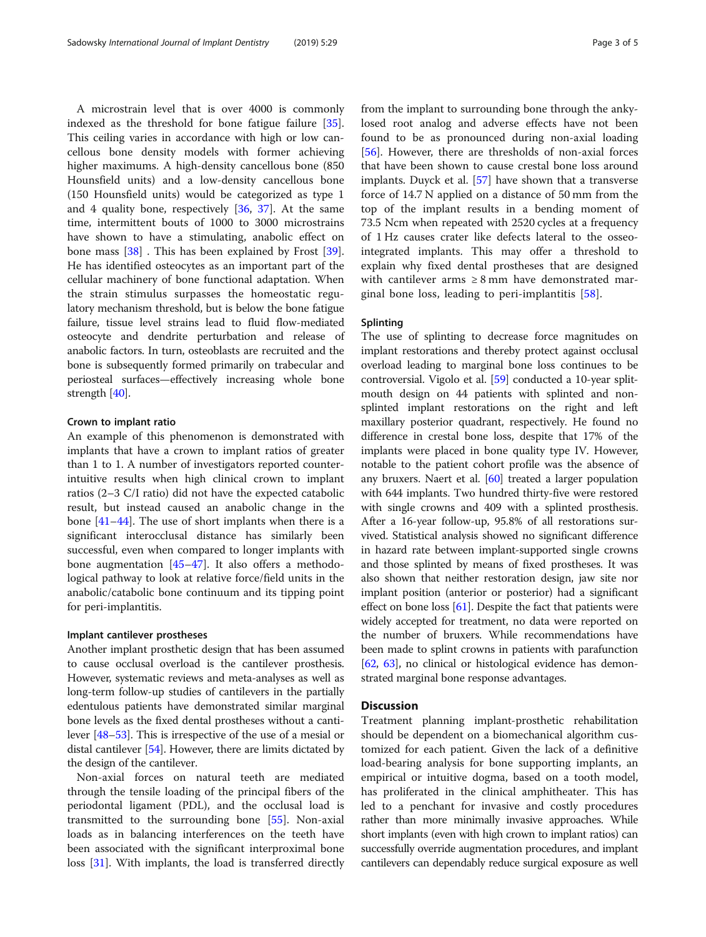A microstrain level that is over 4000 is commonly indexed as the threshold for bone fatigue failure [\[35](#page-4-0)]. This ceiling varies in accordance with high or low cancellous bone density models with former achieving higher maximums. A high-density cancellous bone (850 Hounsfield units) and a low-density cancellous bone (150 Hounsfield units) would be categorized as type 1 and 4 quality bone, respectively [[36,](#page-4-0) [37](#page-4-0)]. At the same time, intermittent bouts of 1000 to 3000 microstrains have shown to have a stimulating, anabolic effect on bone mass [\[38](#page-4-0)] . This has been explained by Frost [\[39](#page-4-0)]. He has identified osteocytes as an important part of the cellular machinery of bone functional adaptation. When the strain stimulus surpasses the homeostatic regulatory mechanism threshold, but is below the bone fatigue failure, tissue level strains lead to fluid flow-mediated osteocyte and dendrite perturbation and release of anabolic factors. In turn, osteoblasts are recruited and the bone is subsequently formed primarily on trabecular and periosteal surfaces—effectively increasing whole bone strength [\[40\]](#page-4-0).

#### Crown to implant ratio

An example of this phenomenon is demonstrated with implants that have a crown to implant ratios of greater than 1 to 1. A number of investigators reported counterintuitive results when high clinical crown to implant ratios (2–3 C/I ratio) did not have the expected catabolic result, but instead caused an anabolic change in the bone [\[41](#page-4-0)–[44\]](#page-4-0). The use of short implants when there is a significant interocclusal distance has similarly been successful, even when compared to longer implants with bone augmentation [[45](#page-4-0)–[47](#page-4-0)]. It also offers a methodological pathway to look at relative force/field units in the anabolic/catabolic bone continuum and its tipping point for peri-implantitis.

#### Implant cantilever prostheses

Another implant prosthetic design that has been assumed to cause occlusal overload is the cantilever prosthesis. However, systematic reviews and meta-analyses as well as long-term follow-up studies of cantilevers in the partially edentulous patients have demonstrated similar marginal bone levels as the fixed dental prostheses without a cantilever [[48](#page-4-0)–[53\]](#page-4-0). This is irrespective of the use of a mesial or distal cantilever [\[54\]](#page-4-0). However, there are limits dictated by the design of the cantilever.

Non-axial forces on natural teeth are mediated through the tensile loading of the principal fibers of the periodontal ligament (PDL), and the occlusal load is transmitted to the surrounding bone [[55\]](#page-4-0). Non-axial loads as in balancing interferences on the teeth have been associated with the significant interproximal bone loss [[31\]](#page-4-0). With implants, the load is transferred directly from the implant to surrounding bone through the ankylosed root analog and adverse effects have not been found to be as pronounced during non-axial loading [[56\]](#page-4-0). However, there are thresholds of non-axial forces that have been shown to cause crestal bone loss around implants. Duyck et al. [[57\]](#page-4-0) have shown that a transverse force of 14.7 N applied on a distance of 50 mm from the top of the implant results in a bending moment of 73.5 Ncm when repeated with 2520 cycles at a frequency of 1 Hz causes crater like defects lateral to the osseointegrated implants. This may offer a threshold to explain why fixed dental prostheses that are designed with cantilever arms  $\geq 8$  mm have demonstrated marginal bone loss, leading to peri-implantitis  $[58]$  $[58]$ .

#### Splinting

The use of splinting to decrease force magnitudes on implant restorations and thereby protect against occlusal overload leading to marginal bone loss continues to be controversial. Vigolo et al. [[59\]](#page-4-0) conducted a 10-year splitmouth design on 44 patients with splinted and nonsplinted implant restorations on the right and left maxillary posterior quadrant, respectively. He found no difference in crestal bone loss, despite that 17% of the implants were placed in bone quality type IV. However, notable to the patient cohort profile was the absence of any bruxers. Naert et al. [\[60\]](#page-4-0) treated a larger population with 644 implants. Two hundred thirty-five were restored with single crowns and 409 with a splinted prosthesis. After a 16-year follow-up, 95.8% of all restorations survived. Statistical analysis showed no significant difference in hazard rate between implant-supported single crowns and those splinted by means of fixed prostheses. It was also shown that neither restoration design, jaw site nor implant position (anterior or posterior) had a significant effect on bone loss [[61](#page-4-0)]. Despite the fact that patients were widely accepted for treatment, no data were reported on the number of bruxers. While recommendations have been made to splint crowns in patients with parafunction [[62](#page-4-0), [63](#page-4-0)], no clinical or histological evidence has demonstrated marginal bone response advantages.

#### **Discussion**

Treatment planning implant-prosthetic rehabilitation should be dependent on a biomechanical algorithm customized for each patient. Given the lack of a definitive load-bearing analysis for bone supporting implants, an empirical or intuitive dogma, based on a tooth model, has proliferated in the clinical amphitheater. This has led to a penchant for invasive and costly procedures rather than more minimally invasive approaches. While short implants (even with high crown to implant ratios) can successfully override augmentation procedures, and implant cantilevers can dependably reduce surgical exposure as well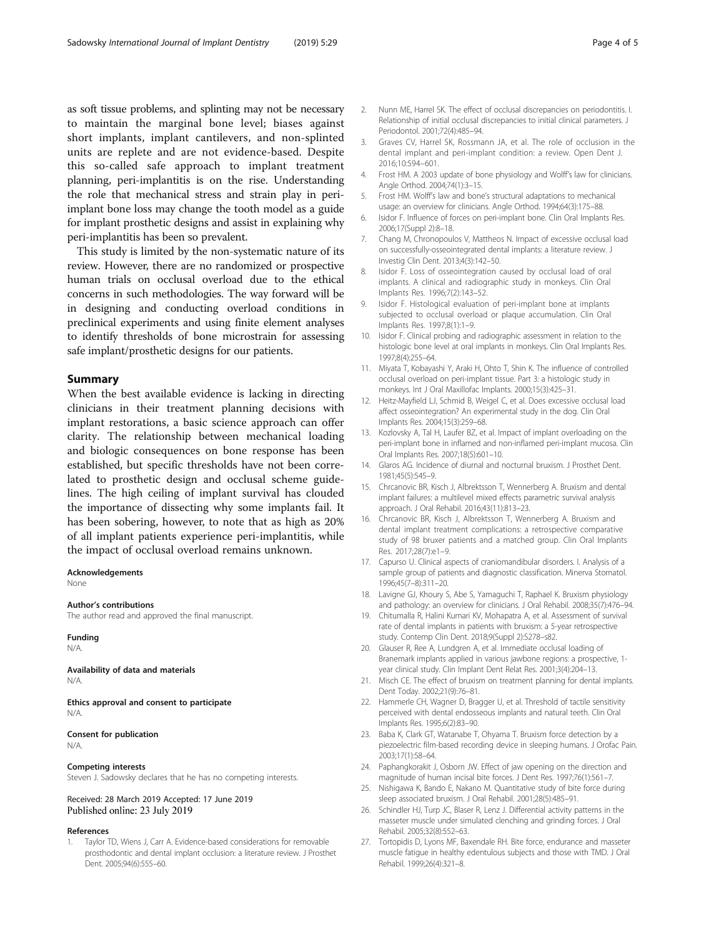<span id="page-3-0"></span>as soft tissue problems, and splinting may not be necessary to maintain the marginal bone level; biases against short implants, implant cantilevers, and non-splinted units are replete and are not evidence-based. Despite this so-called safe approach to implant treatment planning, peri-implantitis is on the rise. Understanding the role that mechanical stress and strain play in periimplant bone loss may change the tooth model as a guide for implant prosthetic designs and assist in explaining why peri-implantitis has been so prevalent.

This study is limited by the non-systematic nature of its review. However, there are no randomized or prospective human trials on occlusal overload due to the ethical concerns in such methodologies. The way forward will be in designing and conducting overload conditions in preclinical experiments and using finite element analyses to identify thresholds of bone microstrain for assessing safe implant/prosthetic designs for our patients.

#### Summary

When the best available evidence is lacking in directing clinicians in their treatment planning decisions with implant restorations, a basic science approach can offer clarity. The relationship between mechanical loading and biologic consequences on bone response has been established, but specific thresholds have not been correlated to prosthetic design and occlusal scheme guidelines. The high ceiling of implant survival has clouded the importance of dissecting why some implants fail. It has been sobering, however, to note that as high as 20% of all implant patients experience peri-implantitis, while the impact of occlusal overload remains unknown.

Acknowledgements None

#### Author's contributions

The author read and approved the final manuscript.

#### Funding

N/A.

Availability of data and materials N/A.

Ethics approval and consent to participate N/A.

Consent for publication N/A.

#### Competing interests

Steven J. Sadowsky declares that he has no competing interests.

Received: 28 March 2019 Accepted: 17 June 2019 Published online: 23 July 2019

#### References

Taylor TD, Wiens J, Carr A. Evidence-based considerations for removable prosthodontic and dental implant occlusion: a literature review. J Prosthet Dent. 2005;94(6):555–60.

- 2. Nunn ME, Harrel SK. The effect of occlusal discrepancies on periodontitis. I. Relationship of initial occlusal discrepancies to initial clinical parameters. J Periodontol. 2001;72(4):485–94.
- 3. Graves CV, Harrel SK, Rossmann JA, et al. The role of occlusion in the dental implant and peri-implant condition: a review. Open Dent J. 2016;10:594–601.
- 4. Frost HM. A 2003 update of bone physiology and Wolff's law for clinicians. Angle Orthod. 2004;74(1):3–15.
- 5. Frost HM. Wolff's law and bone's structural adaptations to mechanical usage: an overview for clinicians. Angle Orthod. 1994;64(3):175–88.
- 6. Isidor F. Influence of forces on peri-implant bone. Clin Oral Implants Res. 2006;17(Suppl 2):8–18.
- 7. Chang M, Chronopoulos V, Mattheos N. Impact of excessive occlusal load on successfully-osseointegrated dental implants: a literature review. J Investig Clin Dent. 2013;4(3):142–50.
- 8. Isidor F. Loss of osseointegration caused by occlusal load of oral implants. A clinical and radiographic study in monkeys. Clin Oral Implants Res. 1996;7(2):143–52.
- 9. Isidor F. Histological evaluation of peri-implant bone at implants subjected to occlusal overload or plaque accumulation. Clin Oral Implants Res. 1997;8(1):1–9.
- 10. Isidor F. Clinical probing and radiographic assessment in relation to the histologic bone level at oral implants in monkeys. Clin Oral Implants Res. 1997;8(4):255–64.
- 11. Miyata T, Kobayashi Y, Araki H, Ohto T, Shin K. The influence of controlled occlusal overload on peri-implant tissue. Part 3: a histologic study in monkeys. Int J Oral Maxillofac Implants. 2000;15(3):425–31.
- 12. Heitz-Mayfield LJ, Schmid B, Weigel C, et al. Does excessive occlusal load affect osseointegration? An experimental study in the dog. Clin Oral Implants Res. 2004;15(3):259–68.
- 13. Kozlovsky A, Tal H, Laufer BZ, et al. Impact of implant overloading on the peri-implant bone in inflamed and non-inflamed peri-implant mucosa. Clin Oral Implants Res. 2007;18(5):601–10.
- 14. Glaros AG. Incidence of diurnal and nocturnal bruxism. J Prosthet Dent. 1981;45(5):545–9.
- 15. Chrcanovic BR, Kisch J, Albrektsson T, Wennerberg A. Bruxism and dental implant failures: a multilevel mixed effects parametric survival analysis approach. J Oral Rehabil. 2016;43(11):813–23.
- 16. Chrcanovic BR, Kisch J, Albrektsson T, Wennerberg A. Bruxism and dental implant treatment complications: a retrospective comparative study of 98 bruxer patients and a matched group. Clin Oral Implants Res. 2017;28(7):e1–9.
- 17. Capurso U. Clinical aspects of craniomandibular disorders. I. Analysis of a sample group of patients and diagnostic classification. Minerva Stomatol. 1996;45(7–8):311–20.
- 18. Lavigne GJ, Khoury S, Abe S, Yamaguchi T, Raphael K. Bruxism physiology and pathology: an overview for clinicians. J Oral Rehabil. 2008;35(7):476–94.
- 19. Chitumalla R, Halini Kumari KV, Mohapatra A, et al. Assessment of survival rate of dental implants in patients with bruxism: a 5-year retrospective study. Contemp Clin Dent. 2018;9(Suppl 2):S278–s82.
- 20. Glauser R, Ree A, Lundgren A, et al. Immediate occlusal loading of Branemark implants applied in various jawbone regions: a prospective, 1 year clinical study. Clin Implant Dent Relat Res. 2001;3(4):204–13.
- 21. Misch CE. The effect of bruxism on treatment planning for dental implants. Dent Today. 2002;21(9):76–81.
- 22. Hammerle CH, Wagner D, Bragger U, et al. Threshold of tactile sensitivity perceived with dental endosseous implants and natural teeth. Clin Oral Implants Res. 1995;6(2):83–90.
- 23. Baba K, Clark GT, Watanabe T, Ohyama T. Bruxism force detection by a piezoelectric film-based recording device in sleeping humans. J Orofac Pain. 2003;17(1):58–64.
- 24. Paphangkorakit J, Osborn JW. Effect of jaw opening on the direction and magnitude of human incisal bite forces. J Dent Res. 1997;76(1):561–7.
- 25. Nishigawa K, Bando E, Nakano M. Quantitative study of bite force during sleep associated bruxism. J Oral Rehabil. 2001;28(5):485–91.
- 26. Schindler HJ, Turp JC, Blaser R, Lenz J. Differential activity patterns in the masseter muscle under simulated clenching and grinding forces. J Oral Rehabil. 2005;32(8):552–63.
- 27. Tortopidis D, Lyons MF, Baxendale RH. Bite force, endurance and masseter muscle fatigue in healthy edentulous subjects and those with TMD. J Oral Rehabil. 1999;26(4):321–8.